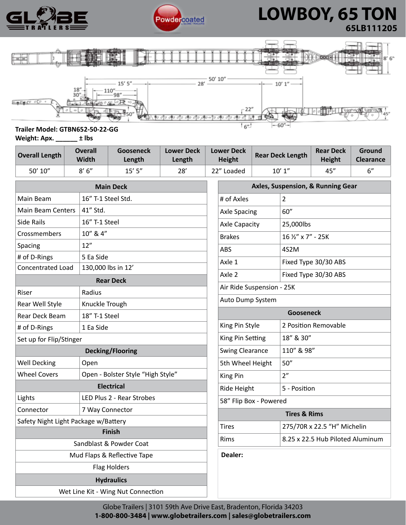



# **A REPORT OF POWERCOATED A LOWBOY, 65 TON 65LB111205**

**Ground Clearance**



### **Trailer Model: GTBN652-50-22-GG Weight: Apx. \_\_\_\_\_\_ ± lbs**

| -----          |                         |                            |                      |                             |                         |                                   |
|----------------|-------------------------|----------------------------|----------------------|-----------------------------|-------------------------|-----------------------------------|
| Overall Length | Overall<br><b>Width</b> | <b>Gooseneck</b><br>Length | Lower Deck<br>Length | <b>Lower Deck</b><br>Height | <b>Rear Deck Length</b> | <b>Rear Deck</b><br><b>Height</b> |

| 50' 10"                              | 8'6''                             | $15'$ 5"  | 28' |                           | 22" Loaded                          |  | 10' 1''              | 45"                              | 6" |  |
|--------------------------------------|-----------------------------------|-----------|-----|---------------------------|-------------------------------------|--|----------------------|----------------------------------|----|--|
| <b>Main Deck</b>                     |                                   |           |     |                           | Axles, Suspension, & Running Gear   |  |                      |                                  |    |  |
| Main Beam                            | 16" T-1 Steel Std.                |           |     |                           | # of Axles<br>2                     |  |                      |                                  |    |  |
| <b>Main Beam Centers</b>             | 41" Std.                          |           |     |                           | <b>Axle Spacing</b>                 |  | 60''                 |                                  |    |  |
| Side Rails                           | 16" T-1 Steel                     |           |     |                           | <b>Axle Capacity</b>                |  | 25,000lbs            |                                  |    |  |
| Crossmembers                         | 10" & 4"                          |           |     |                           | <b>Brakes</b><br>16 1/2" x 7" - 25K |  |                      |                                  |    |  |
| Spacing                              | 12"                               |           |     |                           | 4S2M<br><b>ABS</b>                  |  |                      |                                  |    |  |
| # of D-Rings                         | 5 Ea Side                         |           |     |                           | Axle 1                              |  |                      | Fixed Type 30/30 ABS             |    |  |
| Concentrated Load                    | 130,000 lbs in 12'                |           |     |                           | Axle 2                              |  | Fixed Type 30/30 ABS |                                  |    |  |
| <b>Rear Deck</b>                     |                                   |           |     |                           |                                     |  |                      |                                  |    |  |
| Radius<br>Riser                      |                                   |           |     | Air Ride Suspension - 25K |                                     |  |                      |                                  |    |  |
| Knuckle Trough<br>Rear Well Style    |                                   |           |     | Auto Dump System          |                                     |  |                      |                                  |    |  |
| Rear Deck Beam                       | 18" T-1 Steel                     |           |     |                           | <b>Gooseneck</b>                    |  |                      |                                  |    |  |
| # of D-Rings                         |                                   | 1 Ea Side |     |                           | King Pin Style                      |  | 2 Position Removable |                                  |    |  |
| Set up for Flip/Stinger              |                                   |           |     |                           | King Pin Setting                    |  | 18" & 30"            |                                  |    |  |
| <b>Decking/Flooring</b>              |                                   |           |     |                           | <b>Swing Clearance</b>              |  | 110" & 98"           |                                  |    |  |
| <b>Well Decking</b>                  | Open                              |           |     |                           | 5th Wheel Height                    |  | 50''                 |                                  |    |  |
| <b>Wheel Covers</b>                  | Open - Bolster Style "High Style" |           |     |                           | King Pin                            |  | 2"                   |                                  |    |  |
| <b>Electrical</b>                    |                                   |           |     |                           | Ride Height<br>5 - Position         |  |                      |                                  |    |  |
| Lights<br>LED Plus 2 - Rear Strobes  |                                   |           |     | 58" Flip Box - Powered    |                                     |  |                      |                                  |    |  |
| 7 Way Connector<br>Connector         |                                   |           |     | <b>Tires &amp; Rims</b>   |                                     |  |                      |                                  |    |  |
| Safety Night Light Package w/Battery |                                   |           |     |                           | <b>Tires</b>                        |  |                      | 275/70R x 22.5 "H" Michelin      |    |  |
| <b>Finish</b>                        |                                   |           |     |                           | Rims                                |  |                      | 8.25 x 22.5 Hub Piloted Aluminum |    |  |
| Sandblast & Powder Coat              |                                   |           |     | Dealer:                   |                                     |  |                      |                                  |    |  |
| Mud Flaps & Reflective Tape          |                                   |           |     |                           |                                     |  |                      |                                  |    |  |
| <b>Flag Holders</b>                  |                                   |           |     |                           |                                     |  |                      |                                  |    |  |
| <b>Hydraulics</b>                    |                                   |           |     |                           |                                     |  |                      |                                  |    |  |
| Wet Line Kit - Wing Nut Connection   |                                   |           |     |                           |                                     |  |                      |                                  |    |  |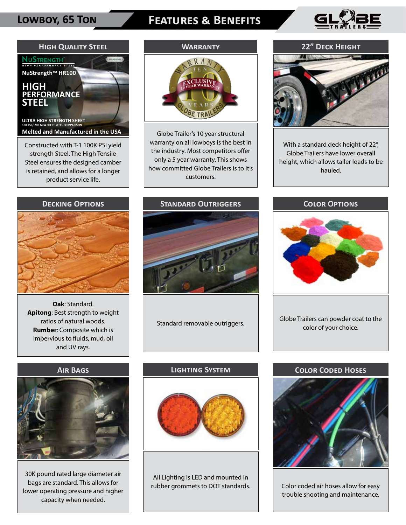# **Lowboy, 65 Ton Features & Benefits**





strength Steel. The High Tensile Steel ensures the designed camber is retained, and allows for a longer product service life.

## **Warranty**



Globe Trailer's 10 year structural warranty on all lowboys is the best in the industry. Most competitors offer only a 5 year warranty. This shows how committed Globe Trailers is to it's customers.

## **22" Deck Height**



With a standard deck height of 22", Globe Trailers have lower overall height, which allows taller loads to be hauled.



**Oak**: Standard. **Apitong**: Best strength to weight ratios of natural woods. **Rumber**: Composite which is impervious to fluids, mud, oil and UV rays.



Standard removable outriggers.





Globe Trailers can powder coat to the color of your choice.

#### **Air Bags**



30K pound rated large diameter air bags are standard. This allows for lower operating pressure and higher capacity when needed.

### **Lighting System**



All Lighting is LED and mounted in rubber grommets to DOT standards.

### **Color Coded Hoses**



Color coded air hoses allow for easy trouble shooting and maintenance.